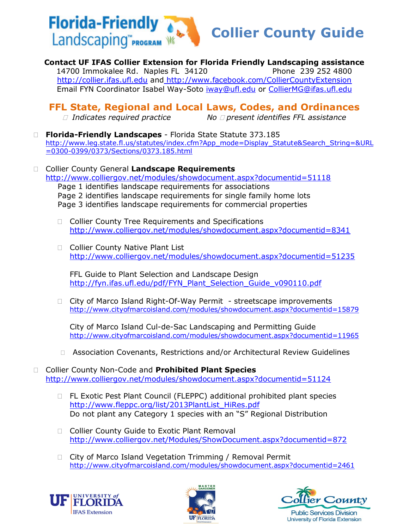

**Contact UF IFAS Collier Extension for Florida Friendly Landscaping assistance** 14700 Immokalee Rd. Naples FL 34120 Phone 239 252 4800 [http://collier.ifas.ufl.edu](http://collier.ifas.ufl.edu/) and <http://www.facebook.com/CollierCountyExtension> Email FYN Coordinator Isabel Way-Soto [iway@ufl.edu](mailto:iway@ufl.edu) or [CollierMG@ifas.ufl.edu](mailto:CollierMG@ifas.ufl.edu)

## **FFL State, Regional and Local Laws, Codes, and Ordinances**

- *Indicates required practice No present identifies FFL assistance*
- **Florida-Friendly Landscapes** Florida State Statute 373.185 [http://www.leg.state.fl.us/statutes/index.cfm?App\\_mode=Display\\_Statute&Search\\_String=&URL](http://www.leg.state.fl.us/statutes/index.cfm?App_mode=Display_Statute&Search_String=&URL=0300-0399/0373/Sections/0373.185.html) [=0300-0399/0373/Sections/0373.185.html](http://www.leg.state.fl.us/statutes/index.cfm?App_mode=Display_Statute&Search_String=&URL=0300-0399/0373/Sections/0373.185.html)
- Collier County General **Landscape Requirements** <http://www.colliergov.net/modules/showdocument.aspx?documentid=51118> Page 1 identifies landscape requirements for associations Page 2 identifies landscape requirements for single family home lots Page 3 identifies landscape requirements for commercial properties
	- □ Collier County Tree Requirements and Specifications <http://www.colliergov.net/modules/showdocument.aspx?documentid=8341>
	- □ Collier County Native Plant List <http://www.colliergov.net/modules/showdocument.aspx?documentid=51235>

FFL Guide to Plant Selection and Landscape Design [http://fyn.ifas.ufl.edu/pdf/FYN\\_Plant\\_Selection\\_Guide\\_v090110.pdf](http://fyn.ifas.ufl.edu/pdf/FYN_Plant_Selection_Guide_v090110.pdf)

□ City of Marco Island Right-Of-Way Permit - streetscape improvements <http://www.cityofmarcoisland.com/modules/showdocument.aspx?documentid=15879>

City of Marco Island Cul-de-Sac Landscaping and Permitting Guide <http://www.cityofmarcoisland.com/modules/showdocument.aspx?documentid=11965>

□ Association Covenants, Restrictions and/or Architectural Review Guidelines

 Collier County Non-Code and **Prohibited Plant Species** <http://www.colliergov.net/modules/showdocument.aspx?documentid=51124>

- □ FL Exotic Pest Plant Council (FLEPPC) additional prohibited plant species [http://www.fleppc.org/list/2013PlantList\\_HiRes.pdf](http://www.fleppc.org/list/2013PlantList_HiRes.pdf) Do not plant any Category 1 species with an "S" Regional Distribution
- □ Collier County Guide to Exotic Plant Removal <http://www.colliergov.net/Modules/ShowDocument.aspx?documentid=872>
- □ City of Marco Island Vegetation Trimming / Removal Permit <http://www.cityofmarcoisland.com/modules/showdocument.aspx?documentid=2461>